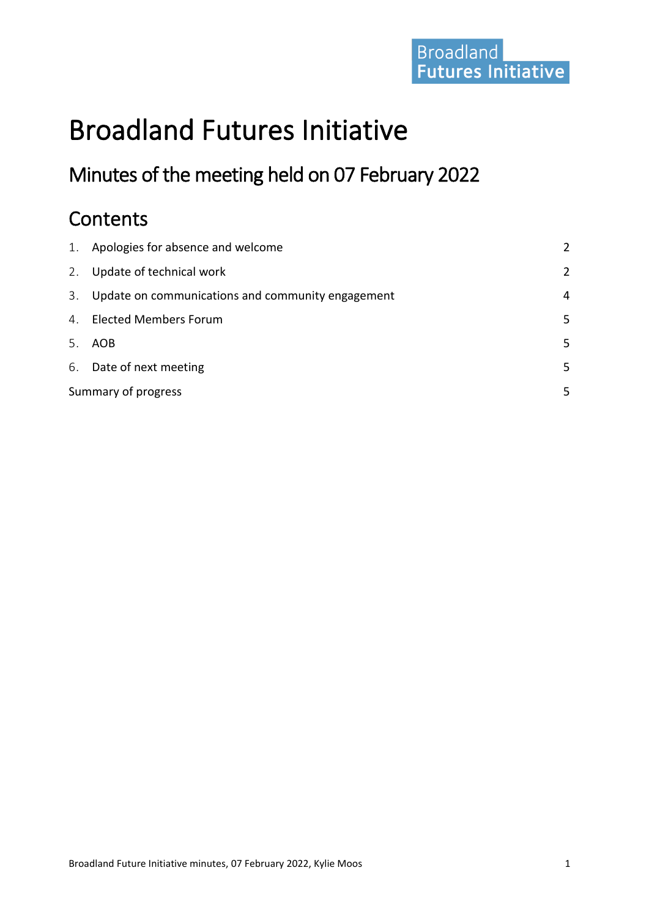# Broadland<br>Futures Initiative

# Broadland Futures Initiative

# Minutes of the meeting held on 07 February 2022

# **Contents**

| 1. | Apologies for absence and welcome                 | 2 |
|----|---------------------------------------------------|---|
| 2. | Update of technical work                          | 2 |
| 3. | Update on communications and community engagement | 4 |
|    | 4. Elected Members Forum                          | 5 |
| 5. | AOB                                               | 5 |
|    | 6. Date of next meeting                           | 5 |
|    | Summary of progress                               |   |
|    |                                                   |   |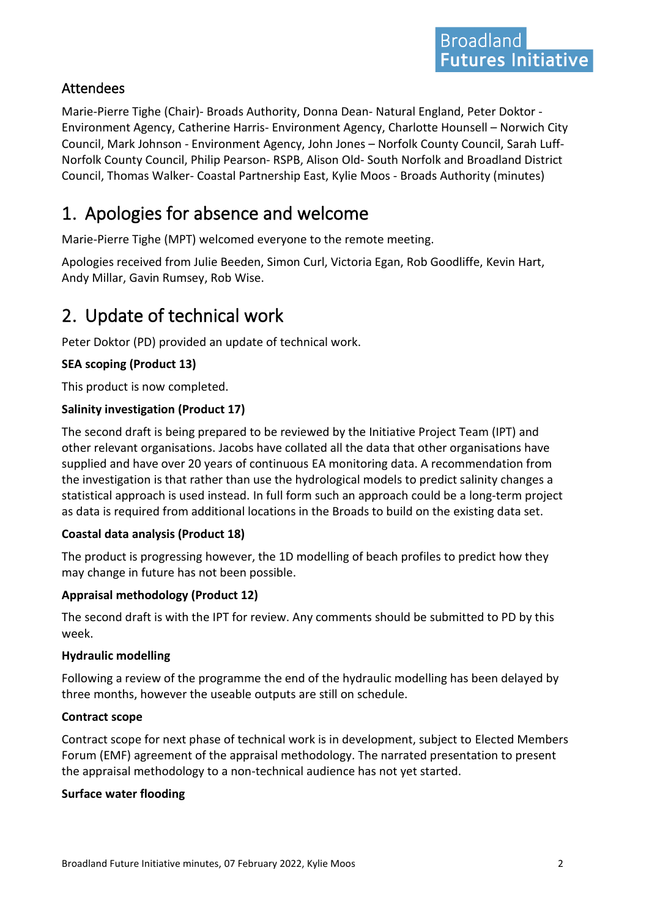#### Attendees

Marie-Pierre Tighe (Chair)- Broads Authority, Donna Dean- Natural England, Peter Doktor - Environment Agency, Catherine Harris- Environment Agency, Charlotte Hounsell – Norwich City Council, Mark Johnson - Environment Agency, John Jones – Norfolk County Council, Sarah Luff-Norfolk County Council, Philip Pearson- RSPB, Alison Old- South Norfolk and Broadland District Council, Thomas Walker- Coastal Partnership East, Kylie Moos - Broads Authority (minutes)

# <span id="page-1-0"></span>1. Apologies for absence and welcome

Marie-Pierre Tighe (MPT) welcomed everyone to the remote meeting.

Apologies received from Julie Beeden, Simon Curl, Victoria Egan, Rob Goodliffe, Kevin Hart, Andy Millar, Gavin Rumsey, Rob Wise.

# <span id="page-1-1"></span>2. Update of technical work

Peter Doktor (PD) provided an update of technical work.

#### **SEA scoping (Product 13)**

This product is now completed.

#### **Salinity investigation (Product 17)**

The second draft is being prepared to be reviewed by the Initiative Project Team (IPT) and other relevant organisations. Jacobs have collated all the data that other organisations have supplied and have over 20 years of continuous EA monitoring data. A recommendation from the investigation is that rather than use the hydrological models to predict salinity changes a statistical approach is used instead. In full form such an approach could be a long-term project as data is required from additional locations in the Broads to build on the existing data set.

#### **Coastal data analysis (Product 18)**

The product is progressing however, the 1D modelling of beach profiles to predict how they may change in future has not been possible.

#### **Appraisal methodology (Product 12)**

The second draft is with the IPT for review. Any comments should be submitted to PD by this week.

#### **Hydraulic modelling**

Following a review of the programme the end of the hydraulic modelling has been delayed by three months, however the useable outputs are still on schedule.

#### **Contract scope**

Contract scope for next phase of technical work is in development, subject to Elected Members Forum (EMF) agreement of the appraisal methodology. The narrated presentation to present the appraisal methodology to a non-technical audience has not yet started.

#### **Surface water flooding**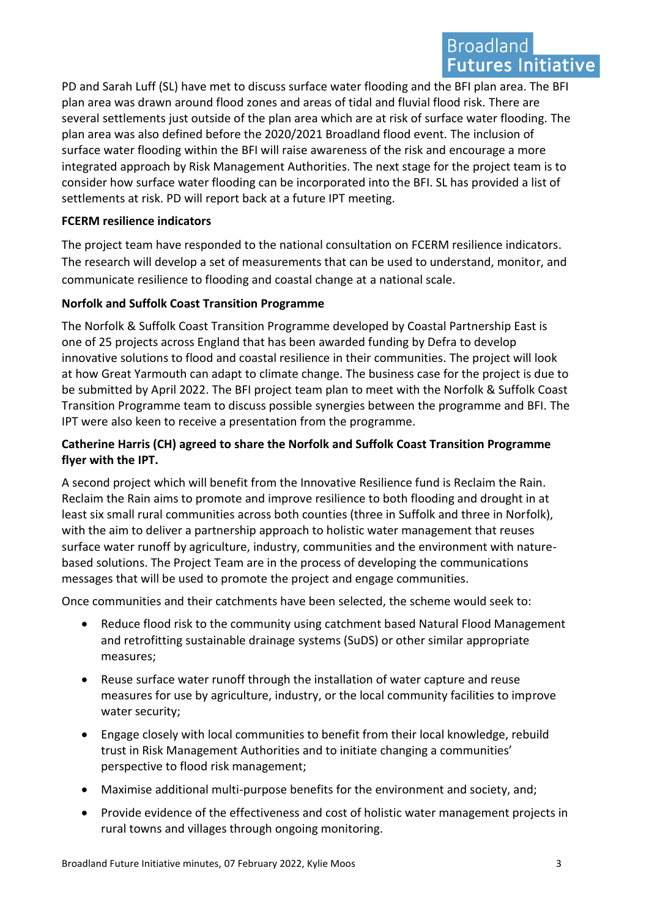## **Broadland Futures Initiative**

PD and Sarah Luff (SL) have met to discuss surface water flooding and the BFI plan area. The BFI plan area was drawn around flood zones and areas of tidal and fluvial flood risk. There are several settlements just outside of the plan area which are at risk of surface water flooding. The plan area was also defined before the 2020/2021 Broadland flood event. The inclusion of surface water flooding within the BFI will raise awareness of the risk and encourage a more integrated approach by Risk Management Authorities. The next stage for the project team is to consider how surface water flooding can be incorporated into the BFI. SL has provided a list of settlements at risk. PD will report back at a future IPT meeting.

#### **FCERM resilience indicators**

The project team have responded to the national consultation on FCERM resilience indicators. The research will develop a set of measurements that can be used to understand, monitor, and communicate resilience to flooding and coastal change at a national scale.

#### **Norfolk and Suffolk Coast Transition Programme**

The Norfolk & Suffolk Coast Transition Programme developed by Coastal Partnership East is one of 25 projects across England that has been awarded funding by Defra to develop innovative solutions to flood and coastal resilience in their communities. The project will look at how Great Yarmouth can adapt to climate change. The business case for the project is due to be submitted by April 2022. The BFI project team plan to meet with the Norfolk & Suffolk Coast Transition Programme team to discuss possible synergies between the programme and BFI. The IPT were also keen to receive a presentation from the programme.

#### **Catherine Harris (CH) agreed to share the Norfolk and Suffolk Coast Transition Programme flyer with the IPT.**

A second project which will benefit from the Innovative Resilience fund is Reclaim the Rain. Reclaim the Rain aims to promote and improve resilience to both flooding and drought in at least six small rural communities across both counties (three in Suffolk and three in Norfolk), with the aim to deliver a partnership approach to holistic water management that reuses surface water runoff by agriculture, industry, communities and the environment with naturebased solutions. The Project Team are in the process of developing the communications messages that will be used to promote the project and engage communities.

Once communities and their catchments have been selected, the scheme would seek to:

- Reduce flood risk to the community using catchment based Natural Flood Management and retrofitting sustainable drainage systems (SuDS) or other similar appropriate measures;
- Reuse surface water runoff through the installation of water capture and reuse measures for use by agriculture, industry, or the local community facilities to improve water security;
- Engage closely with local communities to benefit from their local knowledge, rebuild trust in Risk Management Authorities and to initiate changing a communities' perspective to flood risk management;
- Maximise additional multi-purpose benefits for the environment and society, and;
- Provide evidence of the effectiveness and cost of holistic water management projects in rural towns and villages through ongoing monitoring.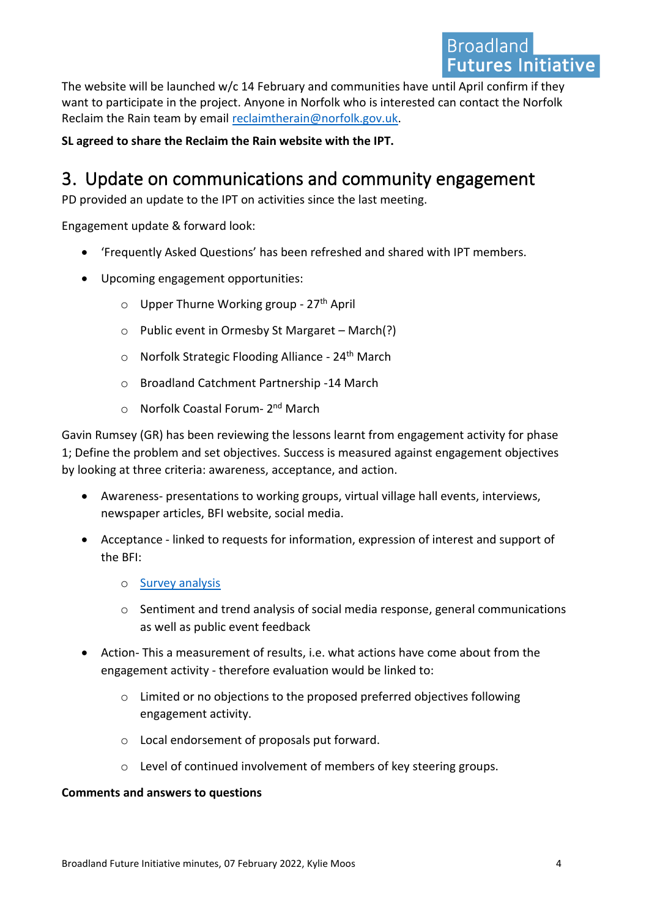The website will be launched w/c 14 February and communities have until April confirm if they want to participate in the project. Anyone in Norfolk who is interested can contact the Norfolk Reclaim the Rain team by email [reclaimtherain@norfolk.gov.uk.](mailto:reclaimtherain@norfolk.gov.uk)

**SL agreed to share the Reclaim the Rain website with the IPT.**

# <span id="page-3-0"></span>3. Update on communications and community engagement

PD provided an update to the IPT on activities since the last meeting.

Engagement update & forward look:

- 'Frequently Asked Questions' has been refreshed and shared with IPT members.
- Upcoming engagement opportunities:
	- $\circ$  Upper Thurne Working group 27<sup>th</sup> April
	- o Public event in Ormesby St Margaret March(?)
	- $\circ$  Norfolk Strategic Flooding Alliance 24<sup>th</sup> March
	- o Broadland Catchment Partnership -14 March
	- o Norfolk Coastal Forum- 2<sup>nd</sup> March

Gavin Rumsey (GR) has been reviewing the lessons learnt from engagement activity for phase 1; Define the problem and set objectives. Success is measured against engagement objectives by looking at three criteria: awareness, acceptance, and action.

- Awareness- presentations to working groups, virtual village hall events, interviews, newspaper articles, BFI website, social media.
- Acceptance linked to requests for information, expression of interest and support of the BFI:
	- o [Survey analysis](https://www.broads-authority.gov.uk/__data/assets/pdf_file/0039/397695/BFI-Final-Results-Summary-2021.pdf)
	- $\circ$  Sentiment and trend analysis of social media response, general communications as well as public event feedback
- Action- This a measurement of results, i.e. what actions have come about from the engagement activity - therefore evaluation would be linked to:
	- o Limited or no objections to the proposed preferred objectives following engagement activity.
	- o Local endorsement of proposals put forward.
	- o Level of continued involvement of members of key steering groups.

#### **Comments and answers to questions**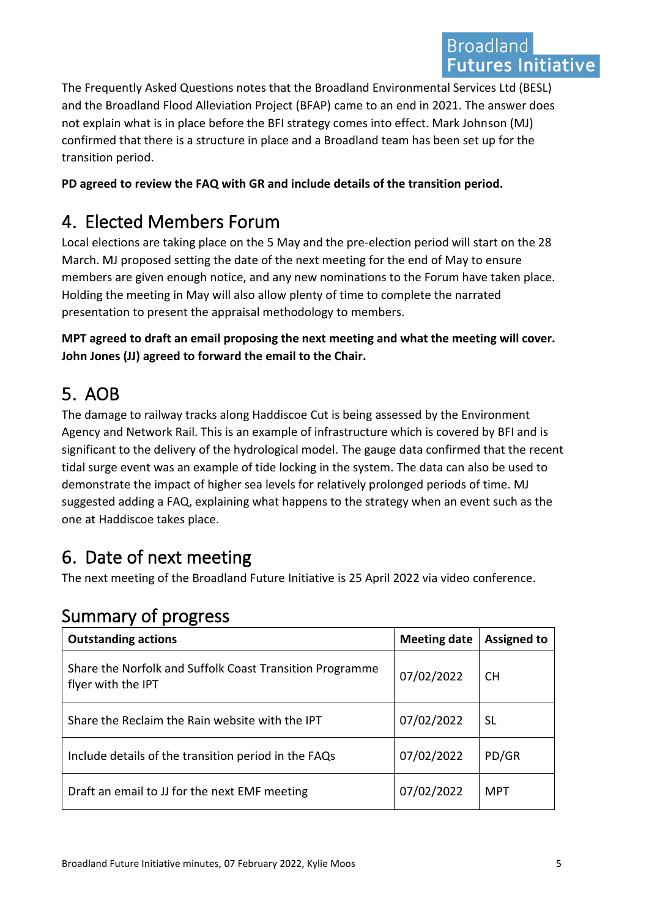The Frequently Asked Questions notes that the Broadland Environmental Services Ltd (BESL) and the Broadland Flood Alleviation Project (BFAP) came to an end in 2021. The answer does not explain what is in place before the BFI strategy comes into effect. Mark Johnson (MJ) confirmed that there is a structure in place and a Broadland team has been set up for the transition period.

**PD agreed to review the FAQ with GR and include details of the transition period.** 

# <span id="page-4-0"></span>4. Elected Members Forum

Local elections are taking place on the 5 May and the pre-election period will start on the 28 March. MJ proposed setting the date of the next meeting for the end of May to ensure members are given enough notice, and any new nominations to the Forum have taken place. Holding the meeting in May will also allow plenty of time to complete the narrated presentation to present the appraisal methodology to members.

**MPT agreed to draft an email proposing the next meeting and what the meeting will cover. John Jones (JJ) agreed to forward the email to the Chair.** 

# <span id="page-4-1"></span>5. AOB

The damage to railway tracks along Haddiscoe Cut is being assessed by the Environment Agency and Network Rail. This is an example of infrastructure which is covered by BFI and is significant to the delivery of the hydrological model. The gauge data confirmed that the recent tidal surge event was an example of tide locking in the system. The data can also be used to demonstrate the impact of higher sea levels for relatively prolonged periods of time. MJ suggested adding a FAQ, explaining what happens to the strategy when an event such as the one at Haddiscoe takes place.

# <span id="page-4-2"></span>6. Date of next meeting

The next meeting of the Broadland Future Initiative is 25 April 2022 via video conference.

## <span id="page-4-3"></span>Summary of progress

| <b>Outstanding actions</b>                                                     | <b>Meeting date</b> | <b>Assigned to</b> |  |
|--------------------------------------------------------------------------------|---------------------|--------------------|--|
| Share the Norfolk and Suffolk Coast Transition Programme<br>flyer with the IPT | 07/02/2022          | CH.                |  |
| Share the Reclaim the Rain website with the IPT                                | 07/02/2022          | <b>SL</b>          |  |
| Include details of the transition period in the FAQs                           | 07/02/2022          | PD/GR              |  |
| Draft an email to JJ for the next EMF meeting                                  | 07/02/2022          | <b>MPT</b>         |  |